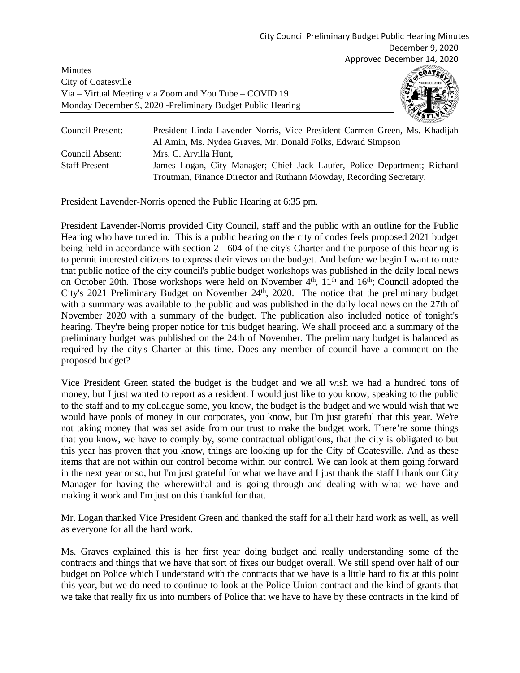Minutes City of Coatesville Via – Virtual Meeting via Zoom and You Tube – COVID 19 Monday December 9, 2020 -Preliminary Budget Public Hearing



| Council Present:     | President Linda Lavender-Norris, Vice President Carmen Green, Ms. Khadijah |
|----------------------|----------------------------------------------------------------------------|
|                      | Al Amin, Ms. Nydea Graves, Mr. Donald Folks, Edward Simpson                |
| Council Absent:      | Mrs. C. Arvilla Hunt.                                                      |
| <b>Staff Present</b> | James Logan, City Manager; Chief Jack Laufer, Police Department; Richard   |
|                      | Troutman, Finance Director and Ruthann Mowday, Recording Secretary.        |

President Lavender-Norris opened the Public Hearing at 6:35 pm.

President Lavender-Norris provided City Council, staff and the public with an outline for the Public Hearing who have tuned in. This is a public hearing on the city of codes feels proposed 2021 budget being held in accordance with section 2 - 604 of the city's Charter and the purpose of this hearing is to permit interested citizens to express their views on the budget. And before we begin I want to note that public notice of the city council's public budget workshops was published in the daily local news on October 20th. Those workshops were held on November  $4<sup>th</sup>$ ,  $11<sup>th</sup>$  and  $16<sup>th</sup>$ ; Council adopted the City's 2021 Preliminary Budget on November  $24<sup>th</sup>$ , 2020. The notice that the preliminary budget with a summary was available to the public and was published in the daily local news on the 27th of November 2020 with a summary of the budget. The publication also included notice of tonight's hearing. They're being proper notice for this budget hearing. We shall proceed and a summary of the preliminary budget was published on the 24th of November. The preliminary budget is balanced as required by the city's Charter at this time. Does any member of council have a comment on the proposed budget?

Vice President Green stated the budget is the budget and we all wish we had a hundred tons of money, but I just wanted to report as a resident. I would just like to you know, speaking to the public to the staff and to my colleague some, you know, the budget is the budget and we would wish that we would have pools of money in our corporates, you know, but I'm just grateful that this year. We're not taking money that was set aside from our trust to make the budget work. There're some things that you know, we have to comply by, some contractual obligations, that the city is obligated to but this year has proven that you know, things are looking up for the City of Coatesville. And as these items that are not within our control become within our control. We can look at them going forward in the next year or so, but I'm just grateful for what we have and I just thank the staff I thank our City Manager for having the wherewithal and is going through and dealing with what we have and making it work and I'm just on this thankful for that.

Mr. Logan thanked Vice President Green and thanked the staff for all their hard work as well, as well as everyone for all the hard work.

Ms. Graves explained this is her first year doing budget and really understanding some of the contracts and things that we have that sort of fixes our budget overall. We still spend over half of our budget on Police which I understand with the contracts that we have is a little hard to fix at this point this year, but we do need to continue to look at the Police Union contract and the kind of grants that we take that really fix us into numbers of Police that we have to have by these contracts in the kind of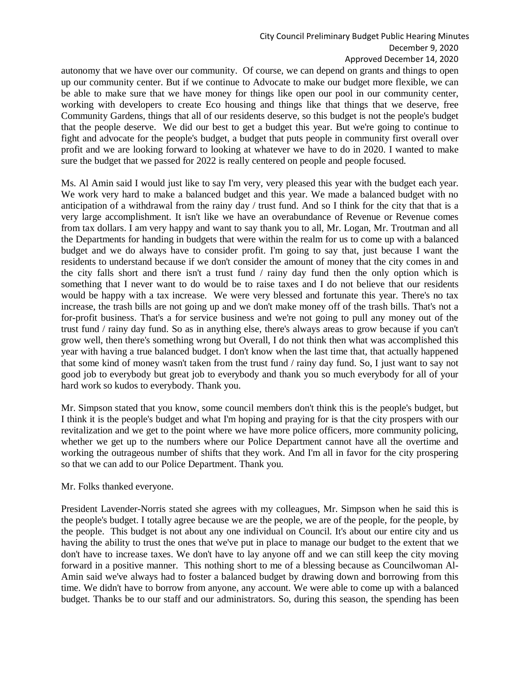# City Council Preliminary Budget Public Hearing Minutes

December 9, 2020

#### Approved December 14, 2020

autonomy that we have over our community. Of course, we can depend on grants and things to open up our community center. But if we continue to Advocate to make our budget more flexible, we can be able to make sure that we have money for things like open our pool in our community center, working with developers to create Eco housing and things like that things that we deserve, free Community Gardens, things that all of our residents deserve, so this budget is not the people's budget that the people deserve. We did our best to get a budget this year. But we're going to continue to fight and advocate for the people's budget, a budget that puts people in community first overall over profit and we are looking forward to looking at whatever we have to do in 2020. I wanted to make sure the budget that we passed for 2022 is really centered on people and people focused.

Ms. Al Amin said I would just like to say I'm very, very pleased this year with the budget each year. We work very hard to make a balanced budget and this year. We made a balanced budget with no anticipation of a withdrawal from the rainy day / trust fund. And so I think for the city that that is a very large accomplishment. It isn't like we have an overabundance of Revenue or Revenue comes from tax dollars. I am very happy and want to say thank you to all, Mr. Logan, Mr. Troutman and all the Departments for handing in budgets that were within the realm for us to come up with a balanced budget and we do always have to consider profit. I'm going to say that, just because I want the residents to understand because if we don't consider the amount of money that the city comes in and the city falls short and there isn't a trust fund / rainy day fund then the only option which is something that I never want to do would be to raise taxes and I do not believe that our residents would be happy with a tax increase. We were very blessed and fortunate this year. There's no tax increase, the trash bills are not going up and we don't make money off of the trash bills. That's not a for-profit business. That's a for service business and we're not going to pull any money out of the trust fund / rainy day fund. So as in anything else, there's always areas to grow because if you can't grow well, then there's something wrong but Overall, I do not think then what was accomplished this year with having a true balanced budget. I don't know when the last time that, that actually happened that some kind of money wasn't taken from the trust fund / rainy day fund. So, I just want to say not good job to everybody but great job to everybody and thank you so much everybody for all of your hard work so kudos to everybody. Thank you.

Mr. Simpson stated that you know, some council members don't think this is the people's budget, but I think it is the people's budget and what I'm hoping and praying for is that the city prospers with our revitalization and we get to the point where we have more police officers, more community policing, whether we get up to the numbers where our Police Department cannot have all the overtime and working the outrageous number of shifts that they work. And I'm all in favor for the city prospering so that we can add to our Police Department. Thank you.

# Mr. Folks thanked everyone.

President Lavender-Norris stated she agrees with my colleagues, Mr. Simpson when he said this is the people's budget. I totally agree because we are the people, we are of the people, for the people, by the people. This budget is not about any one individual on Council. It's about our entire city and us having the ability to trust the ones that we've put in place to manage our budget to the extent that we don't have to increase taxes. We don't have to lay anyone off and we can still keep the city moving forward in a positive manner. This nothing short to me of a blessing because as Councilwoman Al-Amin said we've always had to foster a balanced budget by drawing down and borrowing from this time. We didn't have to borrow from anyone, any account. We were able to come up with a balanced budget. Thanks be to our staff and our administrators. So, during this season, the spending has been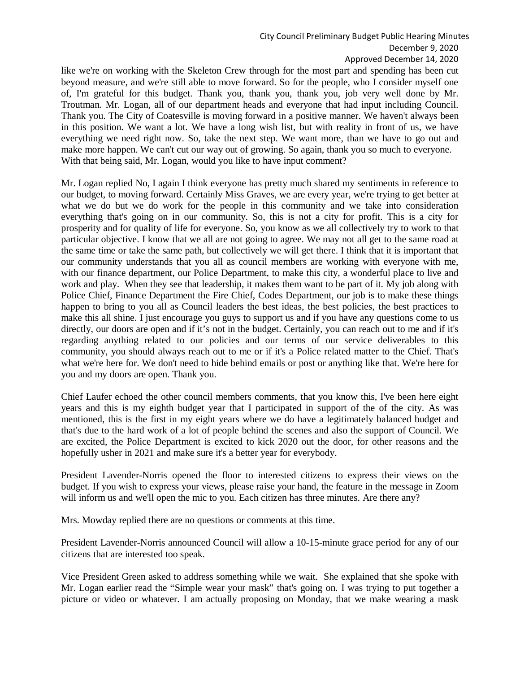### City Council Preliminary Budget Public Hearing Minutes

December 9, 2020

### Approved December 14, 2020

like we're on working with the Skeleton Crew through for the most part and spending has been cut beyond measure, and we're still able to move forward. So for the people, who I consider myself one of, I'm grateful for this budget. Thank you, thank you, thank you, job very well done by Mr. Troutman. Mr. Logan, all of our department heads and everyone that had input including Council. Thank you. The City of Coatesville is moving forward in a positive manner. We haven't always been in this position. We want a lot. We have a long wish list, but with reality in front of us, we have everything we need right now. So, take the next step. We want more, than we have to go out and make more happen. We can't cut our way out of growing. So again, thank you so much to everyone. With that being said, Mr. Logan, would you like to have input comment?

Mr. Logan replied No, I again I think everyone has pretty much shared my sentiments in reference to our budget, to moving forward. Certainly Miss Graves, we are every year, we're trying to get better at what we do but we do work for the people in this community and we take into consideration everything that's going on in our community. So, this is not a city for profit. This is a city for prosperity and for quality of life for everyone. So, you know as we all collectively try to work to that particular objective. I know that we all are not going to agree. We may not all get to the same road at the same time or take the same path, but collectively we will get there. I think that it is important that our community understands that you all as council members are working with everyone with me, with our finance department, our Police Department, to make this city, a wonderful place to live and work and play. When they see that leadership, it makes them want to be part of it. My job along with Police Chief, Finance Department the Fire Chief, Codes Department, our job is to make these things happen to bring to you all as Council leaders the best ideas, the best policies, the best practices to make this all shine. I just encourage you guys to support us and if you have any questions come to us directly, our doors are open and if it's not in the budget. Certainly, you can reach out to me and if it's regarding anything related to our policies and our terms of our service deliverables to this community, you should always reach out to me or if it's a Police related matter to the Chief. That's what we're here for. We don't need to hide behind emails or post or anything like that. We're here for you and my doors are open. Thank you.

Chief Laufer echoed the other council members comments, that you know this, I've been here eight years and this is my eighth budget year that I participated in support of the of the city. As was mentioned, this is the first in my eight years where we do have a legitimately balanced budget and that's due to the hard work of a lot of people behind the scenes and also the support of Council. We are excited, the Police Department is excited to kick 2020 out the door, for other reasons and the hopefully usher in 2021 and make sure it's a better year for everybody.

President Lavender-Norris opened the floor to interested citizens to express their views on the budget. If you wish to express your views, please raise your hand, the feature in the message in Zoom will inform us and we'll open the mic to you. Each citizen has three minutes. Are there any?

Mrs. Mowday replied there are no questions or comments at this time.

President Lavender-Norris announced Council will allow a 10-15-minute grace period for any of our citizens that are interested too speak.

Vice President Green asked to address something while we wait. She explained that she spoke with Mr. Logan earlier read the "Simple wear your mask" that's going on. I was trying to put together a picture or video or whatever. I am actually proposing on Monday, that we make wearing a mask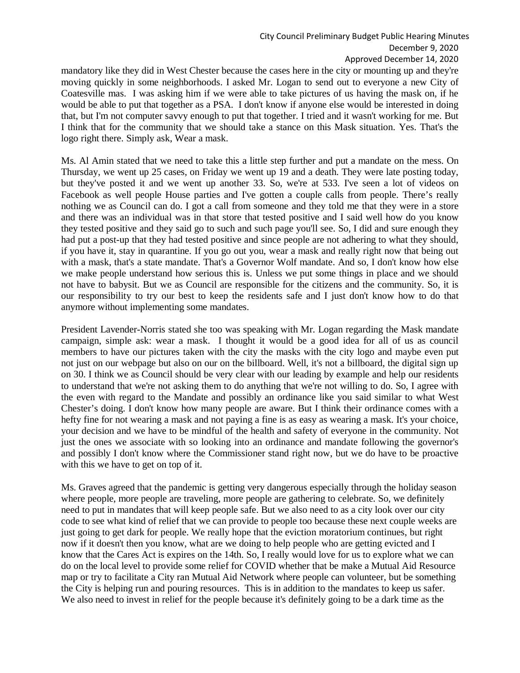#### City Council Preliminary Budget Public Hearing Minutes

December 9, 2020

Approved December 14, 2020

mandatory like they did in West Chester because the cases here in the city or mounting up and they're moving quickly in some neighborhoods. I asked Mr. Logan to send out to everyone a new City of Coatesville mas. I was asking him if we were able to take pictures of us having the mask on, if he would be able to put that together as a PSA. I don't know if anyone else would be interested in doing that, but I'm not computer savvy enough to put that together. I tried and it wasn't working for me. But I think that for the community that we should take a stance on this Mask situation. Yes. That's the logo right there. Simply ask, Wear a mask.

Ms. Al Amin stated that we need to take this a little step further and put a mandate on the mess. On Thursday, we went up 25 cases, on Friday we went up 19 and a death. They were late posting today, but they've posted it and we went up another 33. So, we're at 533. I've seen a lot of videos on Facebook as well people House parties and I've gotten a couple calls from people. There's really nothing we as Council can do. I got a call from someone and they told me that they were in a store and there was an individual was in that store that tested positive and I said well how do you know they tested positive and they said go to such and such page you'll see. So, I did and sure enough they had put a post-up that they had tested positive and since people are not adhering to what they should, if you have it, stay in quarantine. If you go out you, wear a mask and really right now that being out with a mask, that's a state mandate. That's a Governor Wolf mandate. And so, I don't know how else we make people understand how serious this is. Unless we put some things in place and we should not have to babysit. But we as Council are responsible for the citizens and the community. So, it is our responsibility to try our best to keep the residents safe and I just don't know how to do that anymore without implementing some mandates.

President Lavender-Norris stated she too was speaking with Mr. Logan regarding the Mask mandate campaign, simple ask: wear a mask. I thought it would be a good idea for all of us as council members to have our pictures taken with the city the masks with the city logo and maybe even put not just on our webpage but also on our on the billboard. Well, it's not a billboard, the digital sign up on 30. I think we as Council should be very clear with our leading by example and help our residents to understand that we're not asking them to do anything that we're not willing to do. So, I agree with the even with regard to the Mandate and possibly an ordinance like you said similar to what West Chester's doing. I don't know how many people are aware. But I think their ordinance comes with a hefty fine for not wearing a mask and not paying a fine is as easy as wearing a mask. It's your choice, your decision and we have to be mindful of the health and safety of everyone in the community. Not just the ones we associate with so looking into an ordinance and mandate following the governor's and possibly I don't know where the Commissioner stand right now, but we do have to be proactive with this we have to get on top of it.

Ms. Graves agreed that the pandemic is getting very dangerous especially through the holiday season where people, more people are traveling, more people are gathering to celebrate. So, we definitely need to put in mandates that will keep people safe. But we also need to as a city look over our city code to see what kind of relief that we can provide to people too because these next couple weeks are just going to get dark for people. We really hope that the eviction moratorium continues, but right now if it doesn't then you know, what are we doing to help people who are getting evicted and I know that the Cares Act is expires on the 14th. So, I really would love for us to explore what we can do on the local level to provide some relief for COVID whether that be make a Mutual Aid Resource map or try to facilitate a City ran Mutual Aid Network where people can volunteer, but be something the City is helping run and pouring resources. This is in addition to the mandates to keep us safer. We also need to invest in relief for the people because it's definitely going to be a dark time as the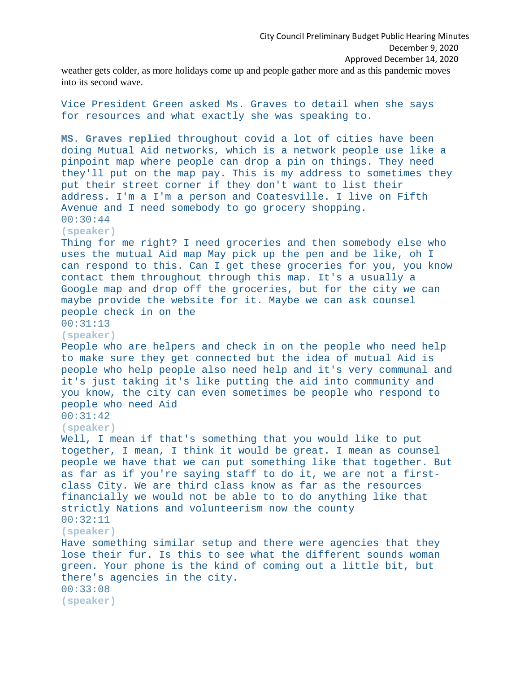City Council Preliminary Budget Public Hearing Minutes December 9, 2020 Approved December 14, 2020

weather gets colder, as more holidays come up and people gather more and as this pandemic moves into its second wave.

Vice President Green asked Ms. Graves to detail when she says for resources and what exactly she was speaking to. **MS. Graves replied t**hroughout covid a lot of cities have been doing Mutual Aid networks, which is a network people use like a pinpoint map where people can drop a pin on things. They need they'll put on the map pay. This is my address to sometimes they put their street corner if they don't want to list their address. I'm a I'm a person and Coatesville. I live on Fifth Avenue and I need somebody to go grocery shopping. 00:30:44 **(speaker)** Thing for me right? I need groceries and then somebody else who uses the mutual Aid map May pick up the pen and be like, oh I can respond to this. Can I get these groceries for you, you know contact them throughout through this map. It's a usually a Google map and drop off the groceries, but for the city we can maybe provide the website for it. Maybe we can ask counsel people check in on the 00:31:13 **(speaker)** People who are helpers and check in on the people who need help to make sure they get connected but the idea of mutual Aid is people who help people also need help and it's very communal and it's just taking it's like putting the aid into community and you know, the city can even sometimes be people who respond to people who need Aid 00:31:42 **(speaker)** Well, I mean if that's something that you would like to put together, I mean, I think it would be great. I mean as counsel people we have that we can put something like that together. But as far as if you're saying staff to do it, we are not a firstclass City. We are third class know as far as the resources financially we would not be able to to do anything like that strictly Nations and volunteerism now the county 00:32:11 **(speaker)** Have something similar setup and there were agencies that they lose their fur. Is this to see what the different sounds woman green. Your phone is the kind of coming out a little bit, but there's agencies in the city. 00:33:08 **(speaker)**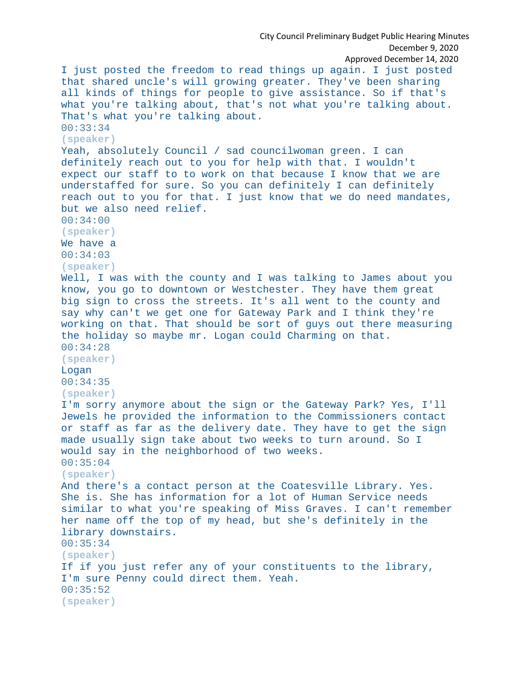```
City Council Preliminary Budget Public Hearing Minutes
                                                        December 9, 2020
                                                Approved December 14, 2020
I just posted the freedom to read things up again. I just posted 
that shared uncle's will growing greater. They've been sharing 
all kinds of things for people to give assistance. So if that's 
what you're talking about, that's not what you're talking about. 
That's what you're talking about.
00:33:34
(speaker)
Yeah, absolutely Council / sad councilwoman green. I can 
definitely reach out to you for help with that. I wouldn't 
expect our staff to to work on that because I know that we are 
understaffed for sure. So you can definitely I can definitely 
reach out to you for that. I just know that we do need mandates, 
but we also need relief.
00:34:00
(speaker)
We have a
00:34:03
(speaker)
Well, I was with the county and I was talking to James about you 
know, you go to downtown or Westchester. They have them great 
big sign to cross the streets. It's all went to the county and 
say why can't we get one for Gateway Park and I think they're 
working on that. That should be sort of guys out there measuring 
the holiday so maybe mr. Logan could Charming on that.
00:34:28
(speaker)
Logan
00:34:35
(speaker)
I'm sorry anymore about the sign or the Gateway Park? Yes, I'll 
Jewels he provided the information to the Commissioners contact 
or staff as far as the delivery date. They have to get the sign 
made usually sign take about two weeks to turn around. So I 
would say in the neighborhood of two weeks.
00:35:04
(speaker)
And there's a contact person at the Coatesville Library. Yes. 
She is. She has information for a lot of Human Service needs 
similar to what you're speaking of Miss Graves. I can't remember 
her name off the top of my head, but she's definitely in the 
library downstairs.
00:35:34
(speaker)
If if you just refer any of your constituents to the library, 
I'm sure Penny could direct them. Yeah.
00:35:52
(speaker)
```